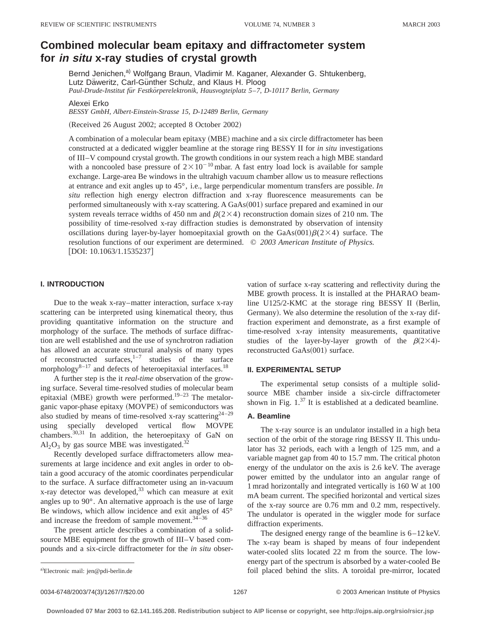# **Combined molecular beam epitaxy and diffractometer system for in situ x-ray studies of crystal growth**

Bernd Jenichen,<sup>a)</sup> Wolfgang Braun, Vladimir M. Kaganer, Alexander G. Shtukenberg, Lutz Däweritz, Carl-Günther Schulz, and Klaus H. Ploog *Paul-Drude-Institut fu¨r Festko¨rperelektronik, Hausvogteiplatz 5*–*7, D-10117 Berlin, Germany*

Alexei Erko

*BESSY GmbH, Albert-Einstein-Strasse 15, D-12489 Berlin, Germany*

(Received 26 August 2002; accepted 8 October 2002)

A combination of a molecular beam epitaxy (MBE) machine and a six circle diffractometer has been constructed at a dedicated wiggler beamline at the storage ring BESSY II for *in situ* investigations of III–V compound crystal growth. The growth conditions in our system reach a high MBE standard with a noncooled base pressure of  $2\times10^{-10}$  mbar. A fast entry load lock is available for sample exchange. Large-area Be windows in the ultrahigh vacuum chamber allow us to measure reflections at entrance and exit angles up to 45°, i.e., large perpendicular momentum transfers are possible. *In situ* reflection high energy electron diffraction and x-ray fluorescence measurements can be performed simultaneously with x-ray scattering. A  $GaAs(001)$  surface prepared and examined in our system reveals terrace widths of 450 nm and  $\beta(2\times4)$  reconstruction domain sizes of 210 nm. The possibility of time-resolved x-ray diffraction studies is demonstrated by observation of intensity oscillations during layer-by-layer homoepitaxial growth on the GaAs $(001)\beta(2\times4)$  surface. The resolution functions of our experiment are determined. © *2003 American Institute of Physics.*  $[DOI: 10.1063/1.1535237]$ 

# **I. INTRODUCTION**

Due to the weak x-ray–matter interaction, surface x-ray scattering can be interpreted using kinematical theory, thus providing quantitative information on the structure and morphology of the surface. The methods of surface diffraction are well established and the use of synchrotron radiation has allowed an accurate structural analysis of many types of reconstructed surfaces, $1-7$  studies of the surface morphology $8-17$  and defects of heteroepitaxial interfaces.<sup>18</sup>

A further step is the it *real-time* observation of the growing surface. Several time-resolved studies of molecular beam epitaxial (MBE) growth were performed.<sup>19–23</sup> The metalorganic vapor-phase epitaxy (MOVPE) of semiconductors was also studied by means of time-resolved x-ray scattering  $2^{4-29}$ using specially developed vertical flow MOVPE chambers.30,31 In addition, the heteroepitaxy of GaN on  $Al_2O_3$  by gas source MBE was investigated.<sup>32</sup>

Recently developed surface diffractometers allow measurements at large incidence and exit angles in order to obtain a good accuracy of the atomic coordinates perpendicular to the surface. A surface diffractometer using an in-vacuum x-ray detector was developed,<sup>33</sup> which can measure at exit angles up to 90°. An alternative approach is the use of large Be windows, which allow incidence and exit angles of 45° and increase the freedom of sample movement. $34-36$ 

The present article describes a combination of a solidsource MBE equipment for the growth of III–V based compounds and a six-circle diffractometer for the *in situ* observation of surface x-ray scattering and reflectivity during the MBE growth process. It is installed at the PHARAO beamline  $U125/2-KMC$  at the storage ring BESSY II (Berlin, Germany). We also determine the resolution of the x-ray diffraction experiment and demonstrate, as a first example of time-resolved x-ray intensity measurements, quantitative studies of the layer-by-layer growth of the  $\beta(2\times4)$ reconstructed  $GaAs(001)$  surface.

#### **II. EXPERIMENTAL SETUP**

The experimental setup consists of a multiple solidsource MBE chamber inside a six-circle diffractometer shown in Fig.  $1^{37}$  It is established at a dedicated beamline.

#### **A. Beamline**

The x-ray source is an undulator installed in a high beta section of the orbit of the storage ring BESSY II. This undulator has 32 periods, each with a length of 125 mm, and a variable magnet gap from 40 to 15.7 mm. The critical photon energy of the undulator on the axis is 2.6 keV. The average power emitted by the undulator into an angular range of 1 mrad horizontally and integrated vertically is 160 W at 100 mA beam current. The specified horizontal and vertical sizes of the x-ray source are 0.76 mm and 0.2 mm, respectively. The undulator is operated in the wiggler mode for surface diffraction experiments.

The designed energy range of the beamline is 6–12 keV. The x-ray beam is shaped by means of four independent water-cooled slits located 22 m from the source. The lowenergy part of the spectrum is absorbed by a water-cooled Be foil placed behind the slits. A toroidal pre-mirror, located

a)Electronic mail: jen@pdi-berlin.de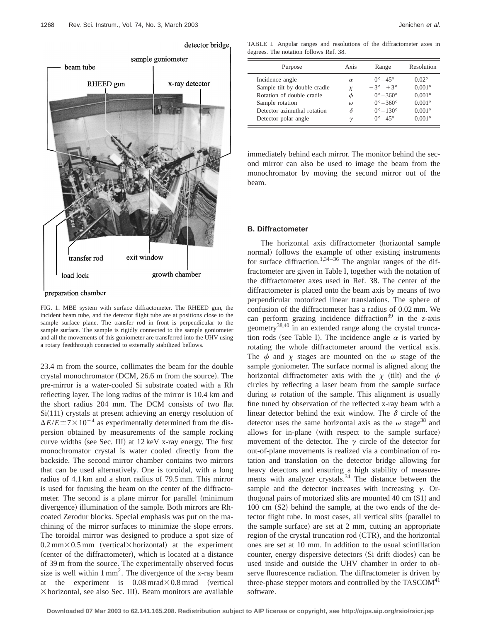

FIG. 1. MBE system with surface diffractometer. The RHEED gun, the incident beam tube, and the detector flight tube are at positions close to the sample surface plane. The transfer rod in front is perpendicular to the sample surface. The sample is rigidly connected to the sample goniometer and all the movements of this goniometer are transferred into the UHV using a rotary feedthrough connected to externally stabilized bellows.

23.4 m from the source, collimates the beam for the double crystal monochromator (DCM, 26.6 m from the source). The pre-mirror is a water-cooled Si substrate coated with a Rh reflecting layer. The long radius of the mirror is 10.4 km and the short radius 204 mm. The DCM consists of two flat  $Si(111)$  crystals at present achieving an energy resolution of  $\Delta E/E \cong 7 \times 10^{-4}$  as experimentally determined from the dispersion obtained by measurements of the sample rocking curve widths (see Sec. III) at  $12 \text{ keV}$  x-ray energy. The first monochromator crystal is water cooled directly from the backside. The second mirror chamber contains two mirrors that can be used alternatively. One is toroidal, with a long radius of 4.1 km and a short radius of 79.5 mm. This mirror is used for focusing the beam on the center of the diffractometer. The second is a plane mirror for parallel (minimum divergence) illumination of the sample. Both mirrors are Rhcoated Zerodur blocks. Special emphasis was put on the machining of the mirror surfaces to minimize the slope errors. The toroidal mirror was designed to produce a spot size of  $0.2$  mm $\times$ 0.5 mm (vertical $\times$ horizontal) at the experiment (center of the diffractometer), which is located at a distance of 39 m from the source. The experimentally observed focus size is well within  $1 \text{ mm}^2$ . The divergence of the x-ray beam at the experiment is  $0.08$  mrad $\times$ 0.8 mrad (vertical  $\times$  horizontal, see also Sec. III). Beam monitors are available

TABLE I. Angular ranges and resolutions of the diffractometer axes in degrees. The notation follows Ref. 38.

| Purpose                      | Axis     | Range                     | Resolution      |
|------------------------------|----------|---------------------------|-----------------|
| Incidence angle              | $\alpha$ | $0^\circ - 45^\circ$      | $0.02^{\circ}$  |
| Sample tilt by double cradle | $\chi$   | $-3^{\circ} - 3^{\circ}$  | $0.001^\circ$   |
| Rotation of double cradle    | φ        | $0^{\circ} - 360^{\circ}$ | $0.001^{\circ}$ |
| Sample rotation              | $\omega$ | $0^{\circ} - 360^{\circ}$ | $0.001^{\circ}$ |
| Detector azimuthal rotation  | δ        | $0^{\circ} - 130^{\circ}$ | $0.001^\circ$   |
| Detector polar angle         | $\gamma$ | $0^\circ - 45^\circ$      | $0.001^{\circ}$ |

immediately behind each mirror. The monitor behind the second mirror can also be used to image the beam from the monochromator by moving the second mirror out of the beam.

#### **B. Diffractometer**

The horizontal axis diffractometer (horizontal sample normal) follows the example of other existing instruments for surface diffraction.<sup>1,34-36</sup> The angular ranges of the diffractometer are given in Table I, together with the notation of the diffractometer axes used in Ref. 38. The center of the diffractometer is placed onto the beam axis by means of two perpendicular motorized linear translations. The sphere of confusion of the diffractometer has a radius of 0.02 mm. We can perform grazing incidence diffraction<sup>39</sup> in the *z*-axis geometry<sup>38,40</sup> in an extended range along the crystal truncation rods (see Table I). The incidence angle  $\alpha$  is varied by rotating the whole diffractometer around the vertical axis. The  $\phi$  and  $\chi$  stages are mounted on the  $\omega$  stage of the sample goniometer. The surface normal is aligned along the horizontal diffractometer axis with the  $\chi$  (tilt) and the  $\phi$ circles by reflecting a laser beam from the sample surface during  $\omega$  rotation of the sample. This alignment is usually fine tuned by observation of the reflected x-ray beam with a linear detector behind the exit window. The  $\delta$  circle of the detector uses the same horizontal axis as the  $\omega$  stage<sup>38</sup> and allows for in-plane (with respect to the sample surface) movement of the detector. The  $\gamma$  circle of the detector for out-of-plane movements is realized via a combination of rotation and translation on the detector bridge allowing for heavy detectors and ensuring a high stability of measurements with analyzer crystals.<sup>34</sup> The distance between the sample and the detector increases with increasing  $\gamma$ . Orthogonal pairs of motorized slits are mounted  $40 \text{ cm} (S1)$  and  $100 \text{ cm}$   $(S2)$  behind the sample, at the two ends of the detector flight tube. In most cases, all vertical slits (parallel to the sample surface) are set at  $2 \text{ mm}$ , cutting an appropriate region of the crystal truncation rod  $(CTR)$ , and the horizontal ones are set at 10 mm. In addition to the usual scintillation counter, energy dispersive detectors (Si drift diodes) can be used inside and outside the UHV chamber in order to observe fluorescence radiation. The diffractometer is driven by three-phase stepper motors and controlled by the  $TASCOM<sup>41</sup>$ software.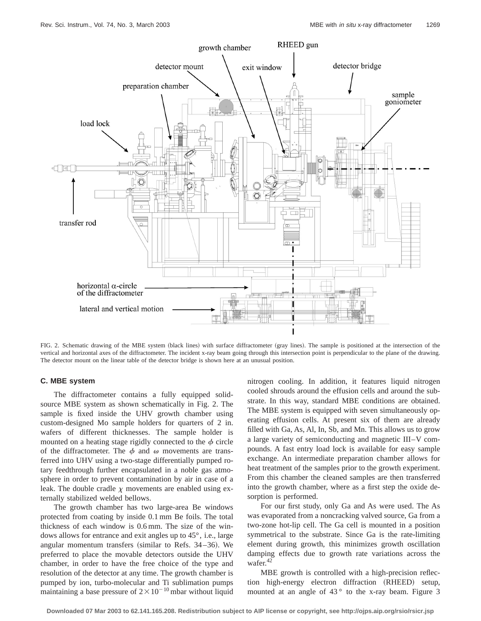

FIG. 2. Schematic drawing of the MBE system (black lines) with surface diffractometer (gray lines). The sample is positioned at the intersection of the vertical and horizontal axes of the diffractometer. The incident x-ray beam going through this intersection point is perpendicular to the plane of the drawing. The detector mount on the linear table of the detector bridge is shown here at an unusual position.

## **C. MBE system**

The diffractometer contains a fully equipped solidsource MBE system as shown schematically in Fig. 2. The sample is fixed inside the UHV growth chamber using custom-designed Mo sample holders for quarters of 2 in. wafers of different thicknesses. The sample holder is mounted on a heating stage rigidly connected to the  $\phi$  circle of the diffractometer. The  $\phi$  and  $\omega$  movements are transferred into UHV using a two-stage differentially pumped rotary feedthrough further encapsulated in a noble gas atmosphere in order to prevent contamination by air in case of a leak. The double cradle  $\chi$  movements are enabled using externally stabilized welded bellows.

The growth chamber has two large-area Be windows protected from coating by inside 0.1 mm Be foils. The total thickness of each window is 0.6 mm. The size of the windows allows for entrance and exit angles up to 45°, i.e., large angular momentum transfers (similar to Refs.  $34-36$ ). We preferred to place the movable detectors outside the UHV chamber, in order to have the free choice of the type and resolution of the detector at any time. The growth chamber is pumped by ion, turbo-molecular and Ti sublimation pumps maintaining a base pressure of  $2 \times 10^{-10}$  mbar without liquid nitrogen cooling. In addition, it features liquid nitrogen cooled shrouds around the effusion cells and around the substrate. In this way, standard MBE conditions are obtained. The MBE system is equipped with seven simultaneously operating effusion cells. At present six of them are already filled with Ga, As, Al, In, Sb, and Mn. This allows us to grow a large variety of semiconducting and magnetic III–V compounds. A fast entry load lock is available for easy sample exchange. An intermediate preparation chamber allows for heat treatment of the samples prior to the growth experiment. From this chamber the cleaned samples are then transferred into the growth chamber, where as a first step the oxide desorption is performed.

For our first study, only Ga and As were used. The As was evaporated from a noncracking valved source, Ga from a two-zone hot-lip cell. The Ga cell is mounted in a position symmetrical to the substrate. Since Ga is the rate-limiting element during growth, this minimizes growth oscillation damping effects due to growth rate variations across the wafer.<sup>42</sup>

MBE growth is controlled with a high-precision reflection high-energy electron diffraction (RHEED) setup, mounted at an angle of  $43°$  to the x-ray beam. Figure 3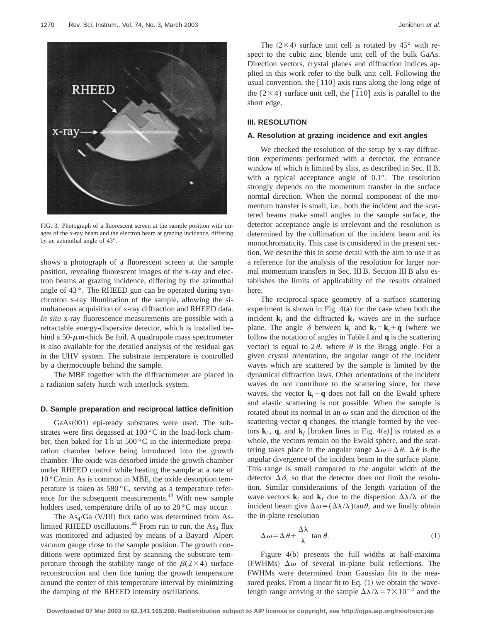

FIG. 3. Photograph of a fluorescent screen at the sample position with images of the x-ray beam and the electron beam at grazing incidence, differing by an azimuthal angle of 43°.

shows a photograph of a fluorescent screen at the sample position, revealing fluorescent images of the x-ray and electron beams at grazing incidence, differing by the azimuthal angle of 43 °. The RHEED gun can be operated during synchrotron x-ray illumination of the sample, allowing the simultaneous acquisition of x-ray diffraction and RHEED data. *In situ* x-ray fluorescence measurements are possible with a retractable energy-dispersive detector, which is installed behind a 50- $\mu$ m-thick Be foil. A quadrupole mass spectrometer is also available for the detailed analysis of the residual gas in the UHV system. The substrate temperature is controlled by a thermocouple behind the sample.

The MBE together with the diffractometer are placed in a radiation safety hutch with interlock system.

#### **D. Sample preparation and reciprocal lattice definition**

GaAs(001) epi-ready substrates were used. The substrates were first degassed at  $100\degree$ C in the load-lock chamber, then baked for 1 h at 500 °C in the intermediate preparation chamber before being introduced into the growth chamber. The oxide was desorbed inside the growth chamber under RHEED control while heating the sample at a rate of 10 °C/min. As is common in MBE, the oxide desorption temperature is taken as 580 °C, serving as a temperature reference for the subsequent measurements.<sup>43</sup> With new sample holders used, temperature drifts of up to 20 °C may occur.

The As<sub>4</sub>/Ga (V/III) flux ratio was determined from Aslimited RHEED oscillations.<sup>44</sup> From run to run, the As<sub>4</sub> flux was monitored and adjusted by means of a Bayard–Alpert vacuum gauge close to the sample position. The growth conditions were optimized first by scanning the substrate temperature through the stability range of the  $\beta(2\times4)$  surface reconstruction and then fine tuning the growth temperature around the center of this temperature interval by minimizing the damping of the RHEED intensity oscillations.

The  $(2\times4)$  surface unit cell is rotated by 45° with respect to the cubic zinc blende unit cell of the bulk GaAs. Direction vectors, crystal planes and diffraction indices applied in this work refer to the bulk unit cell. Following the usual convention, the  $[110]$  axis runs along the long edge of the  $(2\times4)$  surface unit cell, the  $\overline{[110]}$  axis is parallel to the short edge.

#### **III. RESOLUTION**

#### **A. Resolution at grazing incidence and exit angles**

We checked the resolution of the setup by x-ray diffraction experiments performed with a detector, the entrance window of which is limited by slits, as described in Sec. II B, with a typical acceptance angle of 0.1°. The resolution strongly depends on the momentum transfer in the surface normal direction. When the normal component of the momentum transfer is small, i.e., both the incident and the scattered beams make small angles to the sample surface, the detector acceptance angle is irrelevant and the resolution is determined by the collimation of the incident beam and its monochromaticity. This case is considered in the present section. We describe this in some detail with the aim to use it as a reference for the analysis of the resolution for larger normal momentum transfers in Sec. III B. Section III B also establishes the limits of applicability of the results obtained here.

The reciprocal-space geometry of a surface scattering experiment is shown in Fig.  $4(a)$  for the case when both the incident  $\mathbf{k}_i$  and the diffracted  $\mathbf{k}_f$  waves are in the surface plane. The angle  $\delta$  between **k**<sub>*i*</sub> and **k**<sub>*f*</sub> = **k**<sub>*i*</sub>+**q** (where we follow the notation of angles in Table I and **q** is the scattering vector) is equal to  $2\theta$ , where  $\theta$  is the Bragg angle. For a given crystal orientation, the angular range of the incident waves which are scattered by the sample is limited by the dynamical diffraction laws. Other orientations of the incident waves do not contribute to the scattering since, for these waves, the vector  $\mathbf{k}_i + \mathbf{q}$  does not fall on the Ewald sphere and elastic scattering is not possible. When the sample is rotated about its normal in an  $\omega$  scan and the direction of the scattering vector **q** changes, the triangle formed by the vectors  $\mathbf{k}_i$ , **q**, and  $\mathbf{k}_f$  [broken lines in Fig. 4(a)] is rotated as a whole, the vectors remain on the Ewald sphere, and the scattering takes place in the angular range  $\Delta \omega = \Delta \theta$ .  $\Delta \theta$  is the angular divergence of the incident beam in the surface plane. This range is small compared to the angular width of the detector  $\Delta \delta$ , so that the detector does not limit the resolution. Similar considerations of the length variation of the wave vectors  $\mathbf{k}_i$  and  $\mathbf{k}_f$  due to the dispersion  $\Delta \lambda / \lambda$  of the incident beam give  $\Delta \omega = (\Delta \lambda/\lambda) \tan \theta$ , and we finally obtain the in-plane resolution

$$
\Delta \omega = \Delta \theta + \frac{\Delta \lambda}{\lambda} \tan \theta. \tag{1}
$$

Figure  $4(b)$  presents the full widths at half-maxima (FWHMs)  $\Delta \omega$  of several in-plane bulk reflections. The FWHMs were determined from Gaussian fits to the measured peaks. From a linear fit to Eq.  $(1)$  we obtain the wavelength range arriving at the sample  $\Delta\lambda/\lambda = 7 \times 10^{-4}$  and the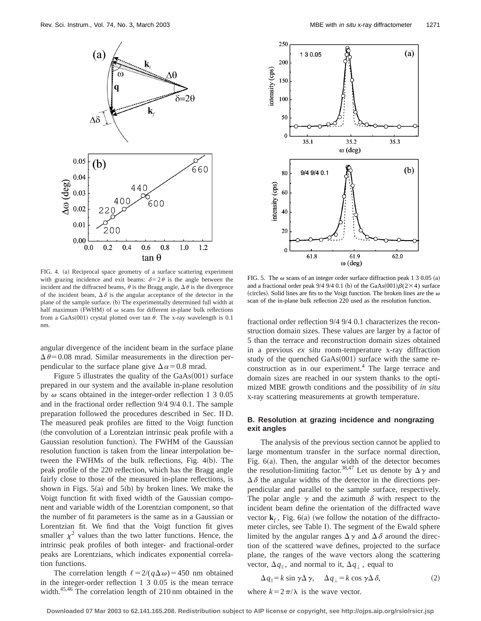



FIG. 4. (a) Reciprocal space geometry of a surface scattering experiment with grazing incidence and exit beams:  $\delta = 2\theta$  is the angle between the incident and the diffracted beams,  $\theta$  is the Bragg angle,  $\Delta \theta$  is the divergence of the incident beam,  $\Delta \delta$  is the angular acceptance of the detector in the plane of the sample surface. (b) The experimentally determined full width at half maximum (FWHM) of  $\omega$  scans for different in-plane bulk reflections from a GaAs $(001)$  crystal plotted over tan  $\theta$ . The x-ray wavelength is 0.1 nm.

angular divergence of the incident beam in the surface plane  $\Delta \theta$  = 0.08 mrad. Similar measurements in the direction perpendicular to the surface plane give  $\Delta \alpha$  = 0.8 mrad.

Figure 5 illustrates the quality of the  $GaAs(001)$  surface prepared in our system and the available in-plane resolution by  $\omega$  scans obtained in the integer-order reflection 1 3 0.05 and in the fractional order reflection 9/4 9/4 0.1. The sample preparation followed the procedures described in Sec. II D. The measured peak profiles are fitted to the Voigt function (the convolution of a Lorentzian intrinsic peak profile with a Gaussian resolution function). The FWHM of the Gaussian resolution function is taken from the linear interpolation between the FWHMs of the bulk reflections, Fig.  $4(b)$ . The peak profile of the 220 reflection, which has the Bragg angle fairly close to those of the measured in-plane reflections, is shown in Figs.  $5(a)$  and  $5(b)$  by broken lines. We make the Voigt function fit with fixed width of the Gaussian component and variable width of the Lorentzian component, so that the number of fit parameters is the same as in a Gaussian or Lorentzian fit. We find that the Voigt function fit gives smaller  $\chi^2$  values than the two latter functions. Hence, the intrinsic peak profiles of both integer- and fractional-order peaks are Lorentzians, which indicates exponential correlation functions.

The correlation length  $\ell = 2/(q\Delta\omega) = 450$  nm obtained in the integer-order reflection 1 3 0.05 is the mean terrace width.<sup>45,46</sup> The correlation length of 210 nm obtained in the

FIG. 5. The  $\omega$  scans of an integer order surface diffraction peak 1 3 0.05 (a) and a fractional order peak 9/4 9/4 0.1 (b) of the GaAs $(001)\beta(2\times4)$  surface (circles). Solid lines are fits to the Voigt function. The broken lines are the  $\omega$ scan of the in-plane bulk reflection 220 used as the resolution function.

fractional order reflection 9/4 9/4 0.1 characterizes the reconstruction domain sizes. These values are larger by a factor of 5 than the terrace and reconstruction domain sizes obtained in a previous *ex situ* room-temperature x-ray diffraction study of the quenched  $GaAs(001)$  surface with the same reconstruction as in our experiment.<sup>4</sup> The large terrace and domain sizes are reached in our system thanks to the optimized MBE growth conditions and the possibility of *in situ* x-ray scattering measurements at growth temperature.

## **B. Resolution at grazing incidence and nongrazing exit angles**

The analysis of the previous section cannot be applied to large momentum transfer in the surface normal direction, Fig.  $6(a)$ . Then, the angular width of the detector becomes the resolution-limiting factor.<sup>38,47</sup> Let us denote by  $\Delta \gamma$  and  $\Delta \delta$  the angular widths of the detector in the directions perpendicular and parallel to the sample surface, respectively. The polar angle  $\gamma$  and the azimuth  $\delta$  with respect to the incident beam define the orientation of the diffracted wave vector  $\mathbf{k}_f$ , Fig. 6(a) (we follow the notation of the diffractometer circles, see Table I). The segment of the Ewald sphere limited by the angular ranges  $\Delta \gamma$  and  $\Delta \delta$  around the direction of the scattered wave defines, projected to the surface plane, the ranges of the wave vectors along the scattering vector,  $\Delta q_{\parallel}$ , and normal to it,  $\Delta q_{\perp}$ , equal to

$$
\Delta q_{\parallel} = k \sin \gamma \Delta \gamma, \quad \Delta q_{\perp} = k \cos \gamma \Delta \delta, \tag{2}
$$

where  $k=2\pi/\lambda$  is the wave vector.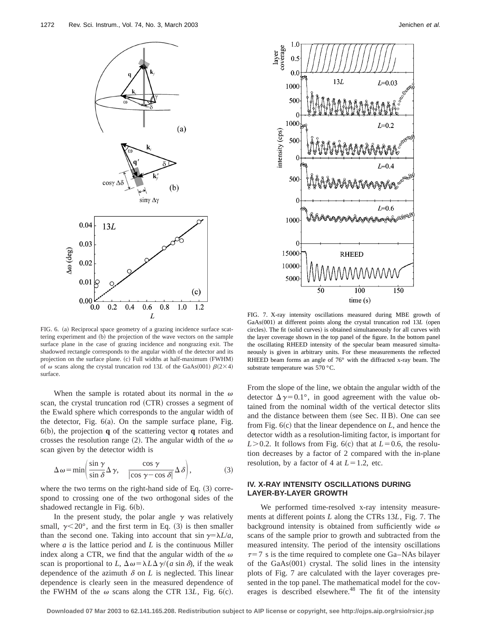

FIG. 6. (a) Reciprocal space geometry of a grazing incidence surface scattering experiment and (b) the projection of the wave vectors on the sample surface plane in the case of grazing incidence and nongrazing exit. The shadowed rectangle corresponds to the angular width of the detector and its projection on the surface plane. (c) Full widths at half-maximum (FWHM) of  $\omega$  scans along the crystal truncation rod 13*L* of the GaAs(001)  $\beta(2\times4)$ surface.

When the sample is rotated about its normal in the  $\omega$ scan, the crystal truncation rod (CTR) crosses a segment of the Ewald sphere which corresponds to the angular width of the detector, Fig.  $6(a)$ . On the sample surface plane, Fig. 6~b!, the projection **q** of the scattering vector **q** rotates and crosses the resolution range (2). The angular width of the  $\omega$ scan given by the detector width is

$$
\Delta \omega = \min \left( \frac{\sin \gamma}{\sin \delta} \Delta \gamma, \quad \frac{\cos \gamma}{|\cos \gamma - \cos \delta|} \Delta \delta \right),\tag{3}
$$

where the two terms on the right-hand side of Eq.  $(3)$  correspond to crossing one of the two orthogonal sides of the shadowed rectangle in Fig.  $6(b)$ .

In the present study, the polar angle  $\gamma$  was relatively small,  $\gamma$ <20°, and the first term in Eq. (3) is then smaller than the second one. Taking into account that  $\sin \gamma = \lambda L/a$ , where *a* is the lattice period and *L* is the continuous Miller index along a CTR, we find that the angular width of the  $\omega$ scan is proportional to *L*,  $\Delta \omega = \lambda L \Delta \gamma / (a \sin \delta)$ , if the weak dependence of the azimuth  $\delta$  on *L* is neglected. This linear dependence is clearly seen in the measured dependence of the FWHM of the  $\omega$  scans along the CTR 13*L*, Fig. 6(c).



FIG. 7. X-ray intensity oscillations measured during MBE growth of GaAs(001) at different points along the crystal truncation rod 13L (open circles). The fit (solid curves) is obtained simultaneously for all curves with the layer coverage shown in the top panel of the figure. In the bottom panel the oscillating RHEED intensity of the specular beam measured simultaneously is given in arbitrary units. For these measurements the reflected RHEED beam forms an angle of 76° with the diffracted x-ray beam. The substrate temperature was 570 °C.

From the slope of the line, we obtain the angular width of the detector  $\Delta \gamma = 0.1^{\circ}$ , in good agreement with the value obtained from the nominal width of the vertical detector slits and the distance between them (see Sec. II B). One can see from Fig.  $6(c)$  that the linear dependence on *L*, and hence the detector width as a resolution-limiting factor, is important for  $L > 0.2$ . It follows from Fig. 6(c) that at  $L = 0.6$ , the resolution decreases by a factor of 2 compared with the in-plane resolution, by a factor of 4 at  $L=1.2$ , etc.

## **IV. X-RAY INTENSITY OSCILLATIONS DURING LAYER-BY-LAYER GROWTH**

We performed time-resolved x-ray intensity measurements at different points *L* along the CTRs 13*L*, Fig. 7. The background intensity is obtained from sufficiently wide  $\omega$ scans of the sample prior to growth and subtracted from the measured intensity. The period of the intensity oscillations  $\tau$ =7 s is the time required to complete one Ga–NAs bilayer of the  $GaAs(001)$  crystal. The solid lines in the intensity plots of Fig. 7 are calculated with the layer coverages presented in the top panel. The mathematical model for the coverages is described elsewhere.<sup>48</sup> The fit of the intensity